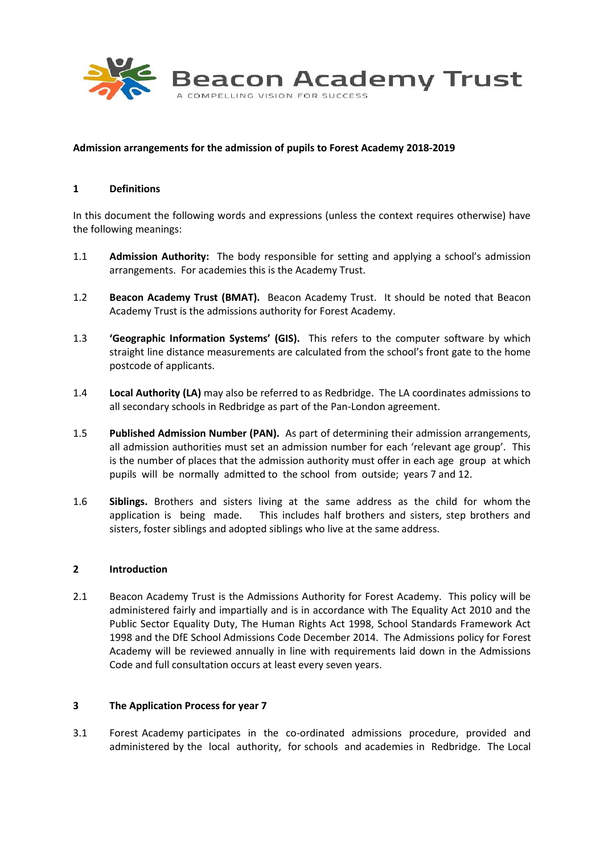

### **Admission arrangements for the admission of pupils to Forest Academy 2018-2019**

#### **1 Definitions**

In this document the following words and expressions (unless the context requires otherwise) have the following meanings:

- 1.1 **Admission Authority:** The body responsible for setting and applying a school's admission arrangements. For academies this is the Academy Trust.
- 1.2 **Beacon Academy Trust (BMAT).** Beacon Academy Trust. It should be noted that Beacon Academy Trust is the admissions authority for Forest Academy.
- 1.3 **'Geographic Information Systems' (GIS).** This refers to the computer software by which straight line distance measurements are calculated from the school's front gate to the home postcode of applicants.
- 1.4 **Local Authority (LA)** may also be referred to as Redbridge. The LA coordinates admissions to all secondary schools in Redbridge as part of the Pan-London agreement.
- 1.5 **Published Admission Number (PAN).** As part of determining their admission arrangements, all admission authorities must set an admission number for each 'relevant age group'. This is the number of places that the admission authority must offer in each age group at which pupils will be normally admitted to the school from outside; years 7 and 12.
- 1.6 **Siblings.** Brothers and sisters living at the same address as the child for whom the application is being made. This includes half brothers and sisters, step brothers and sisters, foster siblings and adopted siblings who live at the same address.

#### **2 Introduction**

2.1 Beacon Academy Trust is the Admissions Authority for Forest Academy. This policy will be administered fairly and impartially and is in accordance with The Equality Act 2010 and the Public Sector Equality Duty, The Human Rights Act 1998, School Standards Framework Act 1998 and the DfE School Admissions Code December 2014. The Admissions policy for Forest Academy will be reviewed annually in line with requirements laid down in the Admissions Code and full consultation occurs at least every seven years.

#### **3 The Application Process for year 7**

3.1 Forest Academy participates in the co-ordinated admissions procedure, provided and administered by the local authority, for schools and academies in Redbridge. The Local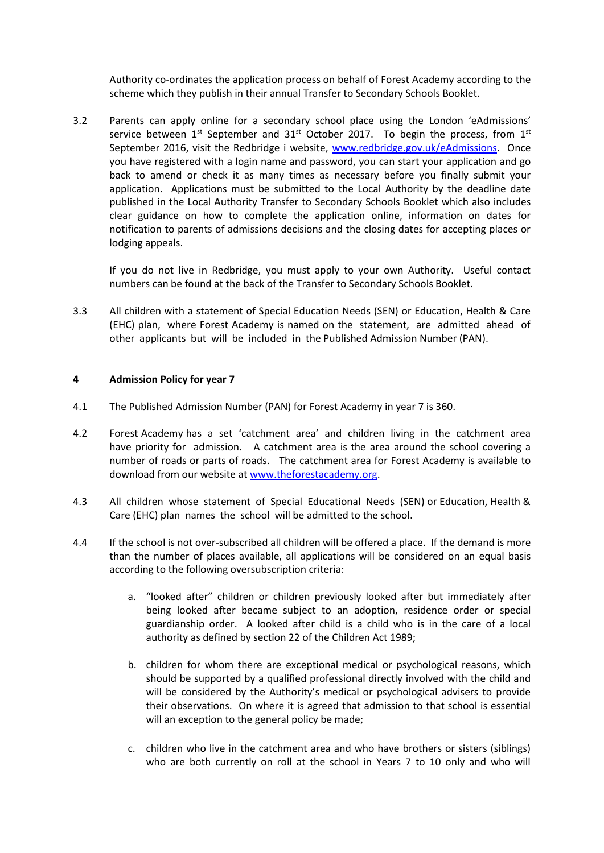Authority co-ordinates the application process on behalf of Forest Academy according to the scheme which they publish in their annual Transfer to Secondary Schools Booklet.

3.2 Parents can apply online for a secondary school place using the London 'eAdmissions' service between  $1^{st}$  September and  $31^{st}$  October 2017. To begin the process, from  $1^{st}$ September 2016, visit the Redbridge i website, [www.redbridge.gov.uk/eAdmissions.](http://www.redbridge.gov.uk/eAdmissions) Once you have registered with a login name and password, you can start your application and go back to amend or check it as many times as necessary before you finally submit your application. Applications must be submitted to the Local Authority by the deadline date published in the Local Authority Transfer to Secondary Schools Booklet which also includes clear guidance on how to complete the application online, information on dates for notification to parents of admissions decisions and the closing dates for accepting places or lodging appeals.

If you do not live in Redbridge, you must apply to your own Authority. Useful contact numbers can be found at the back of the Transfer to Secondary Schools Booklet.

3.3 All children with a statement of Special Education Needs (SEN) or Education, Health & Care (EHC) plan, where Forest Academy is named on the statement, are admitted ahead of other applicants but will be included in the Published Admission Number (PAN).

# **4 Admission Policy for year 7**

- 4.1 The Published Admission Number (PAN) for Forest Academy in year 7 is 360.
- 4.2 Forest Academy has a set 'catchment area' and children living in the catchment area have priority for admission. A catchment area is the area around the school covering a number of roads or parts of roads. The catchment area for Forest Academy is available to download from our website at [www.theforestacademy.org.](http://www.theforestacademy.org/)
- 4.3 All children whose statement of Special Educational Needs (SEN) or Education, Health & Care (EHC) plan names the school will be admitted to the school.
- 4.4 If the school is not over-subscribed all children will be offered a place. If the demand is more than the number of places available, all applications will be considered on an equal basis according to the following oversubscription criteria:
	- a. "looked after" children or children previously looked after but immediately after being looked after became subject to an adoption, residence order or special guardianship order. A looked after child is a child who is in the care of a local authority as defined by section 22 of the Children Act 1989;
	- b. children for whom there are exceptional medical or psychological reasons, which should be supported by a qualified professional directly involved with the child and will be considered by the Authority's medical or psychological advisers to provide their observations. On where it is agreed that admission to that school is essential will an exception to the general policy be made;
	- c. children who live in the catchment area and who have brothers or sisters (siblings) who are both currently on roll at the school in Years 7 to 10 only and who will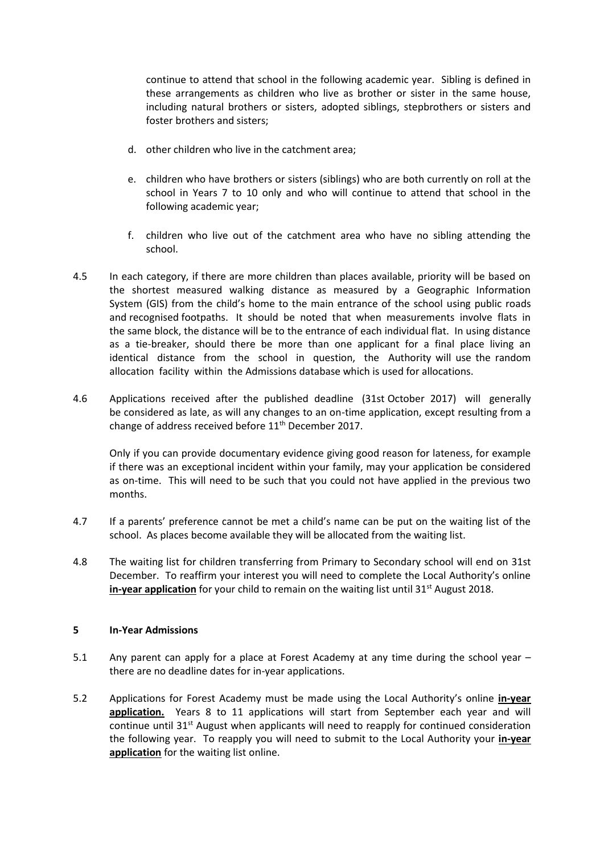continue to attend that school in the following academic year. Sibling is defined in these arrangements as children who live as brother or sister in the same house, including natural brothers or sisters, adopted siblings, stepbrothers or sisters and foster brothers and sisters;

- d. other children who live in the catchment area;
- e. children who have brothers or sisters (siblings) who are both currently on roll at the school in Years 7 to 10 only and who will continue to attend that school in the following academic year;
- f. children who live out of the catchment area who have no sibling attending the school.
- 4.5 In each category, if there are more children than places available, priority will be based on the shortest measured walking distance as measured by a Geographic Information System (GIS) from the child's home to the main entrance of the school using public roads and recognised footpaths. It should be noted that when measurements involve flats in the same block, the distance will be to the entrance of each individual flat. In using distance as a tie-breaker, should there be more than one applicant for a final place living an identical distance from the school in question, the Authority will use the random allocation facility within the Admissions database which is used for allocations.
- 4.6 Applications received after the published deadline (31st October 2017) will generally be considered as late, as will any changes to an on-time application, except resulting from a change of address received before 11<sup>th</sup> December 2017.

Only if you can provide documentary evidence giving good reason for lateness, for example if there was an exceptional incident within your family, may your application be considered as on-time. This will need to be such that you could not have applied in the previous two months.

- 4.7 If a parents' preference cannot be met a child's name can be put on the waiting list of the school. As places become available they will be allocated from the waiting list.
- 4.8 The waiting list for children transferring from Primary to Secondary school will end on 31st December. To reaffirm your interest you will need to complete the Local Authority's online **in-year application** for your child to remain on the waiting list until 31<sup>st</sup> August 2018.

# **5 In-Year Admissions**

- 5.1 Any parent can apply for a place at Forest Academy at any time during the school year there are no deadline dates for in-year applications.
- 5.2 Applications for Forest Academy must be made using the Local Authority's online **in-year application.** Years 8 to 11 applications will start from September each year and will continue until  $31<sup>st</sup>$  August when applicants will need to reapply for continued consideration the following year. To reapply you will need to submit to the Local Authority your **in-year application** for the waiting list online.